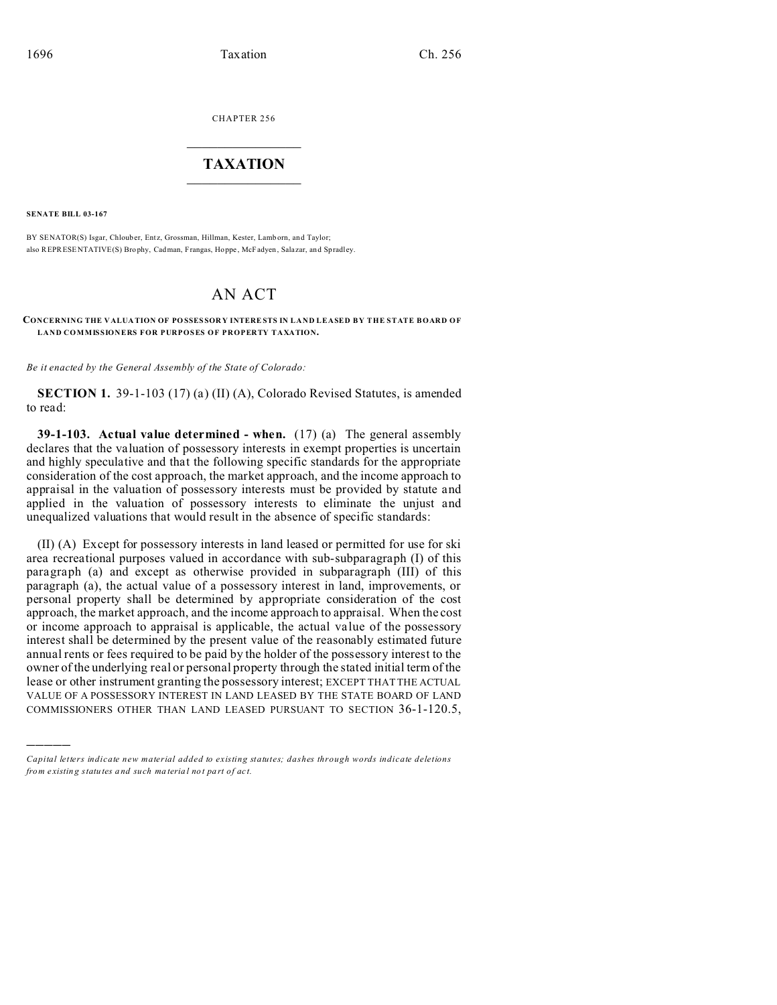CHAPTER 256  $\overline{\phantom{a}}$  , where  $\overline{\phantom{a}}$ 

## **TAXATION**  $\_$

**SENATE BILL 03-167**

)))))

BY SENATOR(S) Isgar, Chlouber, Entz, Grossman, Hillman, Kester, Lamb orn, and Taylor; also REPRESENTATIVE(S) Brophy, Cadman, Frangas, Hoppe, McFadyen, Salazar, and Spradley.

## AN ACT

## **CONCERNING THE V ALUA TION OF POSSES SORY INTERESTS IN LAND LEASED BY THE STATE BOARD OF LAND COMMISSIONERS FOR PURPOSES OF PROPERTY TAXATION.**

*Be it enacted by the General Assembly of the State of Colorado:*

**SECTION 1.** 39-1-103 (17) (a) (II) (A), Colorado Revised Statutes, is amended to read:

**39-1-103. Actual value determined - when.** (17) (a) The general assembly declares that the valuation of possessory interests in exempt properties is uncertain and highly speculative and that the following specific standards for the appropriate consideration of the cost approach, the market approach, and the income approach to appraisal in the valuation of possessory interests must be provided by statute and applied in the valuation of possessory interests to eliminate the unjust and unequalized valuations that would result in the absence of specific standards:

(II) (A) Except for possessory interests in land leased or permitted for use for ski area recreational purposes valued in accordance with sub-subparagraph (I) of this paragraph (a) and except as otherwise provided in subparagraph (III) of this paragraph (a), the actual value of a possessory interest in land, improvements, or personal property shall be determined by appropriate consideration of the cost approach, the market approach, and the income approach to appraisal. When the cost or income approach to appraisal is applicable, the actual value of the possessory interest shall be determined by the present value of the reasonably estimated future annual rents or fees required to be paid by the holder of the possessory interest to the owner of the underlying real or personal property through the stated initial term of the lease or other instrument granting the possessory interest; EXCEPT THAT THE ACTUAL VALUE OF A POSSESSORY INTEREST IN LAND LEASED BY THE STATE BOARD OF LAND COMMISSIONERS OTHER THAN LAND LEASED PURSUANT TO SECTION 36-1-120.5,

*Capital letters indicate new material added to existing statutes; dashes through words indicate deletions from e xistin g statu tes a nd such ma teria l no t pa rt of ac t.*